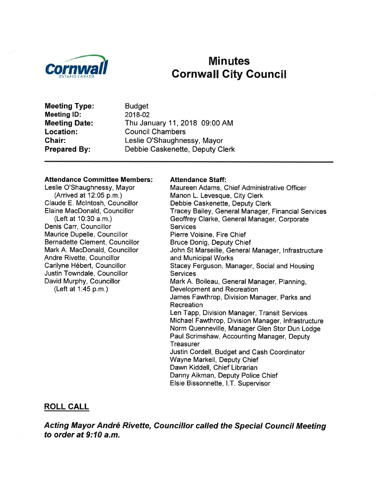

# **Minutes Cornwall City Council**

**Meeting Type: Meeting ID: Meeting Date:** Location: Chair: **Prepared By:** 

**Budget** 2018-02 Thu January 11, 2018 09:00 AM **Council Chambers** Leslie O'Shaughnessy, Mayor Debbie Caskenette, Deputy Clerk

#### **Attendance Committee Members:**

Leslie O'Shaughnessy, Mayor (Arrived at 12:05 p.m.) Claude E. McIntosh, Councillor Elaine MacDonald, Councillor (Left at 10:30 a.m.) Denis Carr, Councillor Maurice Dupelle, Councillor Bernadette Clement, Councillor Mark A. MacDonald, Councillor Andre Rivette, Councillor Carilyne Hébert, Councillor Justin Towndale, Councillor David Murphy, Councillor (Left at 1:45 p.m.)

#### **Attendance Staff:**

Maureen Adams, Chief Administrative Officer Manon L. Levesque, City Clerk Debbie Caskenette, Deputy Clerk Tracey Bailey, General Manager, Financial Services Geoffrey Clarke, General Manager, Corporate **Services** Pierre Voisine, Fire Chief **Bruce Donig, Deputy Chief** John St Marseille, General Manager, Infrastructure and Municipal Works Stacey Ferguson, Manager, Social and Housing **Services** Mark A. Boileau, General Manager, Planning, Development and Recreation James Fawthrop, Division Manager, Parks and Recreation Len Tapp, Division Manager, Transit Services Michael Fawthrop, Division Manager, Infrastructure Norm Quenneville, Manager Glen Stor Dun Lodge Paul Scrimshaw, Accounting Manager, Deputy **Treasurer** Justin Cordell, Budget and Cash Coordinator Wayne Markell, Deputy Chief Dawn Kiddell, Chief Librarian Danny Aikman, Deputy Police Chief Elsie Bissonnette, I.T. Supervisor

#### **ROLL CALL**

Acting Mayor André Rivette, Councillor called the Special Council Meeting to order at 9:10 a.m.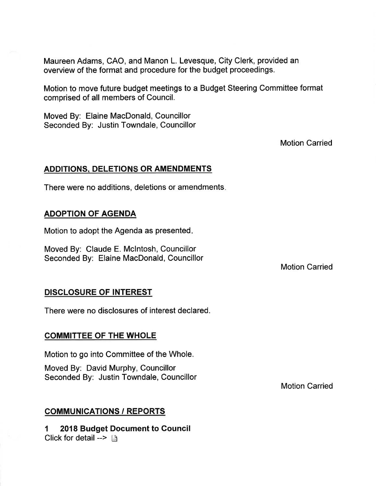Maureen Adams, CAO, and Manon L. Levesque, City Clerk, provided an overview of the format and procedure for the budget proceedings.

Motion to move future budget meetings to a Budget Steering Committee format comprised of all members of Council.

Moved By: Elaine MacDonald, Councillor Seconded By: Justin Towndale, Councillor

Motion Carried

## ADDITIONS, DELETIONS OR AMENDMENTS

There were no additions, deletions or amendments

# ADOPTION OF AGENDA

Motion to adopt the Agenda as presented

Moved By: Claude E. Mclntosh, Councillor Seconded By: Elaine MacDonald, Councillor

Motion Carried

## DISCLOSURE OF INTEREST

There were no disclosures of interest declared.

# COMMITTEE OF THE WHOLE

Motion to go into Committee of the Whole.

Moved By: David Murphy, Councillor Seconded By: Justin Towndale, Councillor

# COMMUNICATIONS / REPORTS

1 2018 Budget Document to Council Click for detail --> ß

Motion Carried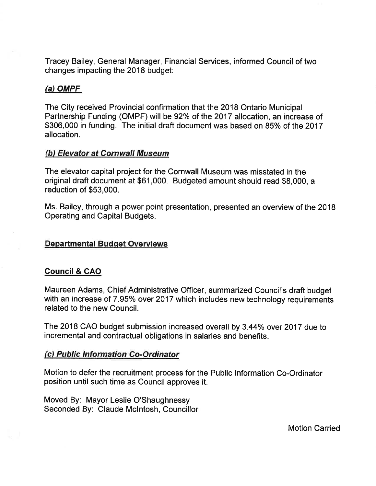Tracey Bailey, General Manager, Financial Services, informed Council of two changes impacting the 2018 budget:

## $(a)$  OMPF

The City received Provincial confirmation that the 2018 Ontario Municipal Partnership Funding (OMPF) will be 92% of the 2017 allocation, an increase of \$306,000 in funding. The initial draft document was based on 85% of the 2017 allocation.

## (b) Elevator at Cornwall Museum

The elevator capital project for the Cornwall Museum was misstated in the original draft document at \$61,000. Budgeted amount should read \$8,000, a reduction of \$53,000.

Ms. Bailey, through a power point presentation, presented an overview of the 2018 Operating and Capital Budgets.

## Departmental Budqet Overviews

## Council & CAO

Maureen Adams, Chief Administrative Officer, summarized Council's draft budget with an increase of 7.95% over 2017 which includes new technology requirements related to the new Council.

The 2018 CAO budget submission increased overall by 3.44% over 2017 due to incremental and contractual obligations in salaries and benefits.

#### (c) Public Information Co-Ordinator

Motion to defer the recruitment process for the Public lnformation Co-Ordinator position until such time as Council approves it.

Moved By: Mayor Leslie O'Shaughnessy Seconded By: Claude Mclntosh, Councillor

Motion Carried